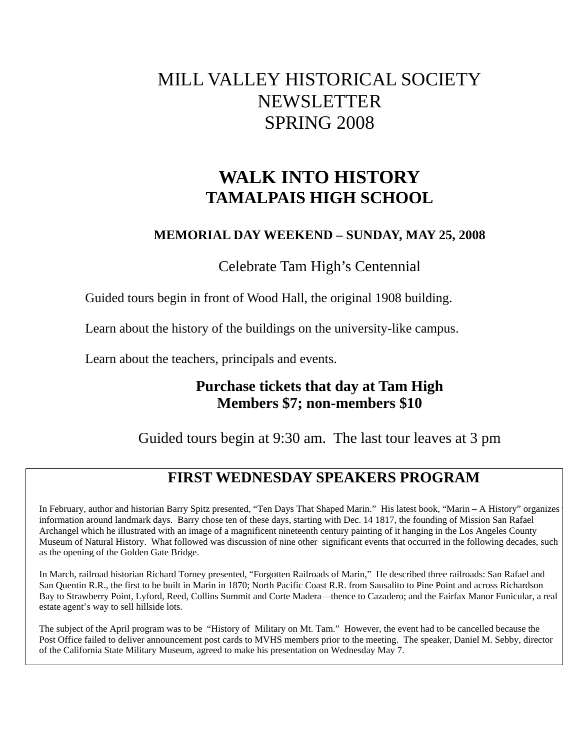# MILL VALLEY HISTORICAL SOCIETY NEWSLETTER SPRING 2008

# **WALK INTO HISTORY TAMALPAIS HIGH SCHOOL**

### **MEMORIAL DAY WEEKEND – SUNDAY, MAY 25, 2008**

Celebrate Tam High's Centennial

Guided tours begin in front of Wood Hall, the original 1908 building.

Learn about the history of the buildings on the university-like campus.

Learn about the teachers, principals and events.

## **Purchase tickets that day at Tam High Members \$7; non-members \$10**

Guided tours begin at 9:30 am. The last tour leaves at 3 pm

## **FIRST WEDNESDAY SPEAKERS PROGRAM**

In February, author and historian Barry Spitz presented, "Ten Days That Shaped Marin." His latest book, "Marin – A History" organizes t information around landmark days. Barry chose ten of these days, starting with Dec. 14 1817, the founding of Mission San Rafael Archangel which he illustrated with an image of a magnificent nineteenth century painting of it hanging in the Los Angeles County Museum of Natural History. What followed was discussion of nine other significant events that occurred in the following decades, such as the opening of the Golden Gate Bridge.

In March, railroad historian Richard Torney presented, "Forgotten Railroads of Marin," He described three railroads: San Rafael and San Quentin R.R., the first to be built in Marin in 1870; North Pacific Coast R.R. from Sausalito to Pine Point and across Richardson Bay to Strawberry Point, Lyford, Reed, Collins Summit and Corte Madera—thence to Cazadero; and the Fairfax Manor Funicular, a real estate agent's way to sell hillside lots.

The subject of the April program was to be "History of Military on Mt. Tam." However, the event had to be cancelled because the Post Office failed to deliver announcement post cards to MVHS members prior to the meeting. The speaker, Daniel M. Sebby, director of the California State Military Museum, agreed to make his presentation on Wednesday May 7.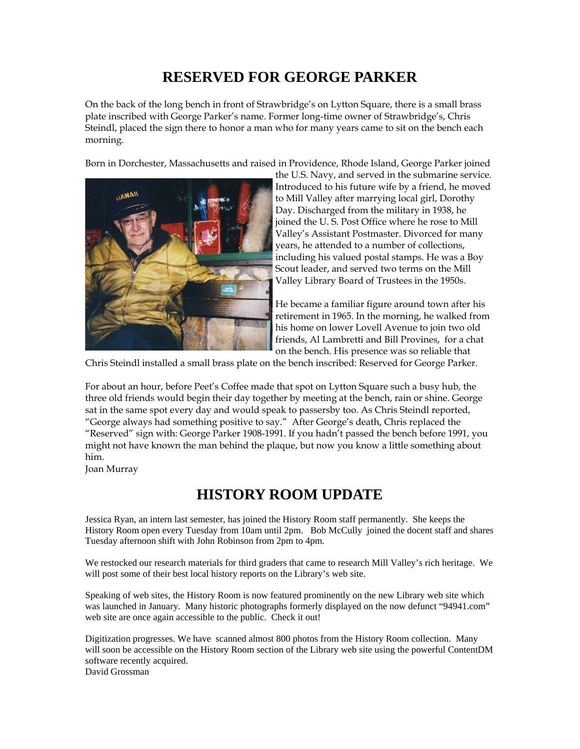## **RESERVED FOR GEORGE PARKER**

On the back of the long bench in front of Strawbridge's on Lytton Square, there is a small brass plate inscribed with George Parker's name. Former long-time owner of Strawbridge's, Chris Steindl, placed the sign there to honor a man who for many years came to sit on the bench each morning.

Born in Dorchester, Massachusetts and raised in Providence, Rhode Island, George Parker joined



the U.S. Navy, and served in the submarine service. Introduced to his future wife by a friend, he moved to Mill Valley after marrying local girl, Dorothy Day. Discharged from the military in 1938, he joined the U. S. Post Office where he rose to Mill Valley's Assistant Postmaster. Divorced for many years, he attended to a number of collections, including his valued postal stamps. He was a Boy Scout leader, and served two terms on the Mill Valley Library Board of Trustees in the 1950s.

He became a familiar figure around town after his retirement in 1965. In the morning, he walked from his home on lower Lovell Avenue to join two old friends, Al Lambretti and Bill Provines, for a chat on the bench. His presence was so reliable that

Chris Steindl installed a small brass plate on the bench inscribed: Reserved for George Parker.

For about an hour, before Peet's Coffee made that spot on Lytton Square such a busy hub, the three old friends would begin their day together by meeting at the bench, rain or shine. George sat in the same spot every day and would speak to passersby too. As Chris Steindl reported, "George always had something positive to say." After George's death, Chris replaced the "Reserved" sign with: George Parker 1908-1991. If you hadn't passed the bench before 1991, you might not have known the man behind the plaque, but now you know a little something about him.

Joan Murray

### **HISTORY ROOM UPDATE**

Jessica Ryan, an intern last semester, has joined the History Room staff permanently. She keeps the History Room open every Tuesday from 10am until 2pm. Bob McCully joined the docent staff and shares Tuesday afternoon shift with John Robinson from 2pm to 4pm.

We restocked our research materials for third graders that came to research Mill Valley's rich heritage. We will post some of their best local history reports on the Library's web site.

Speaking of web sites, the History Room is now featured prominently on the new Library web site which was launched in January. Many historic photographs formerly displayed on the now defunct "94941.com" web site are once again accessible to the public. Check it out!

Digitization progresses. We have scanned almost 800 photos from the History Room collection. Many will soon be accessible on the History Room section of the Library web site using the powerful ContentDM software recently acquired. David Grossman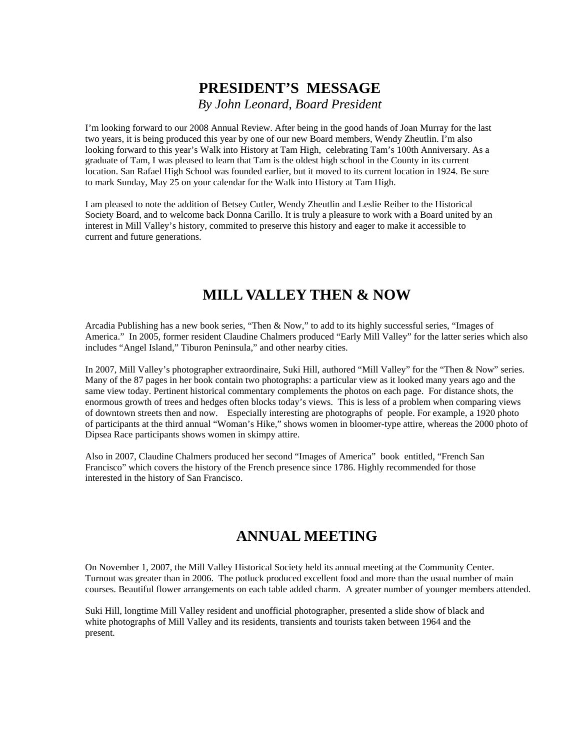## **PRESIDENT'S MESSAGE**  *By John Leonard, Board President*

I'm looking forward to our 2008 Annual Review. After being in the good hands of Joan Murray for the last two years, it is being produced this year by one of our new Board members, Wendy Zheutlin. I'm also looking forward to this year's Walk into History at Tam High, celebrating Tam's 100th Anniversary. As a graduate of Tam, I was pleased to learn that Tam is the oldest high school in the County in its current location. San Rafael High School was founded earlier, but it moved to its current location in 1924. Be sure to mark Sunday, May 25 on your calendar for the Walk into History at Tam High.

I am pleased to note the addition of Betsey Cutler, Wendy Zheutlin and Leslie Reiber to the Historical Society Board, and to welcome back Donna Carillo. It is truly a pleasure to work with a Board united by an interest in Mill Valley's history, commited to preserve this history and eager to make it accessible to current and future generations.

## **MILL VALLEY THEN & NOW**

Arcadia Publishing has a new book series, "Then & Now," to add to its highly successful series, "Images of America." In 2005, former resident Claudine Chalmers produced "Early Mill Valley" for the latter series which also includes "Angel Island," Tiburon Peninsula," and other nearby cities.

In 2007, Mill Valley's photographer extraordinaire, Suki Hill, authored "Mill Valley" for the "Then & Now" series. Many of the 87 pages in her book contain two photographs: a particular view as it looked many years ago and the same view today. Pertinent historical commentary complements the photos on each page. For distance shots, the enormous growth of trees and hedges often blocks today's views. This is less of a problem when comparing views of downtown streets then and now. Especially interesting are photographs of people. For example, a 1920 photo of participants at the third annual "Woman's Hike," shows women in bloomer-type attire, whereas the 2000 photo of Dipsea Race participants shows women in skimpy attire.

Also in 2007, Claudine Chalmers produced her second "Images of America" book entitled, "French San Francisco" which covers the history of the French presence since 1786. Highly recommended for those interested in the history of San Francisco.

### **ANNUAL MEETING**

On November 1, 2007, the Mill Valley Historical Society held its annual meeting at the Community Center. Turnout was greater than in 2006. The potluck produced excellent food and more than the usual number of main courses. Beautiful flower arrangements on each table added charm. A greater number of younger members attended.

Suki Hill, longtime Mill Valley resident and unofficial photographer, presented a slide show of black and white photographs of Mill Valley and its residents, transients and tourists taken between 1964 and the present.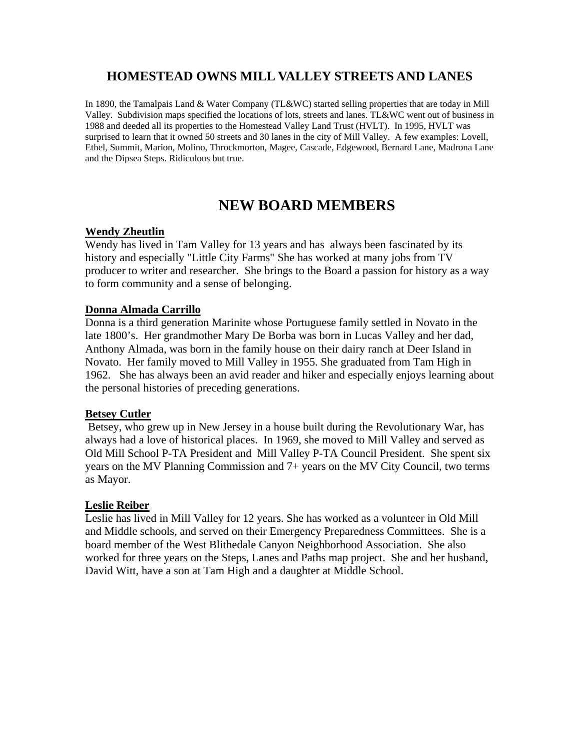### **HOMESTEAD OWNS MILL VALLEY STREETS AND LANES**

In 1890, the Tamalpais Land & Water Company (TL&WC) started selling properties that are today in Mill Valley. Subdivision maps specified the locations of lots, streets and lanes. TL&WC went out of business in 1988 and deeded all its properties to the Homestead Valley Land Trust (HVLT). In 1995, HVLT was surprised to learn that it owned 50 streets and 30 lanes in the city of Mill Valley. A few examples: Lovell, Ethel, Summit, Marion, Molino, Throckmorton, Magee, Cascade, Edgewood, Bernard Lane, Madrona Lane and the Dipsea Steps. Ridiculous but true.

### **NEW BOARD MEMBERS**

#### **Wendy Zheutlin**

Wendy has lived in Tam Valley for 13 years and has always been fascinated by its history and especially "Little City Farms" She has worked at many jobs from TV producer to writer and researcher. She brings to the Board a passion for history as a way to form community and a sense of belonging.

#### **Donna Almada Carrillo**

Donna is a third generation Marinite whose Portuguese family settled in Novato in the late 1800's. Her grandmother Mary De Borba was born in Lucas Valley and her dad, Anthony Almada, was born in the family house on their dairy ranch at Deer Island in Novato. Her family moved to Mill Valley in 1955. She graduated from Tam High in 1962. She has always been an avid reader and hiker and especially enjoys learning about the personal histories of preceding generations.

#### **Betsey Cutler**

 Betsey, who grew up in New Jersey in a house built during the Revolutionary War, has always had a love of historical places. In 1969, she moved to Mill Valley and served as Old Mill School P-TA President and Mill Valley P-TA Council President. She spent six years on the MV Planning Commission and 7+ years on the MV City Council, two terms as Mayor.

#### **Leslie Reiber**

Leslie has lived in Mill Valley for 12 years. She has worked as a volunteer in Old Mill and Middle schools, and served on their Emergency Preparedness Committees. She is a board member of the West Blithedale Canyon Neighborhood Association. She also worked for three years on the Steps, Lanes and Paths map project. She and her husband, David Witt, have a son at Tam High and a daughter at Middle School.